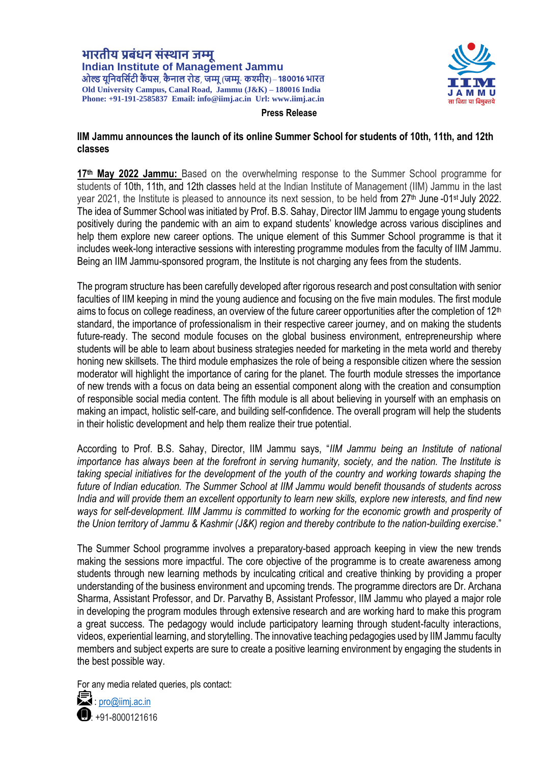भारतीय प्रबंधन संस्थान जम्म Indian Institute of Management Jammu<br>ओल्ड यूनिवर्सिटी कैंपस, कैनाल रोड, जम्मू (जम्मू- कश्मीर)-180016 भारत **Old University Campus, Canal Road, Jammu (J&K) – 180016 India Phone: +91-191-2585837 Email[: info@iimj.ac.in](mailto:info@iimj.ac.in) Url: www.iimj.ac.in**



## **Press Release**

## **IIM Jammu announces the launch of its online Summer School for students of 10th, 11th, and 12th classes**

17<sup>th</sup> May 2022 Jammu: Based on the overwhelming response to the Summer School programme for students of 10th, 11th, and 12th classes held at the Indian Institute of Management (IIM) Jammu in the last year 2021, the Institute is pleased to announce its next session, to be held from 27<sup>th</sup> June -01<sup>st</sup> July 2022. The idea of Summer School was initiated by Prof. B.S. Sahay, Director IIM Jammu to engage young students positively during the pandemic with an aim to expand students' knowledge across various disciplines and help them explore new career options. The unique element of this Summer School programme is that it includes week-long interactive sessions with interesting programme modules from the faculty of IIM Jammu. Being an IIM Jammu-sponsored program, the Institute is not charging any fees from the students.

The program structure has been carefully developed after rigorous research and post consultation with senior faculties of IIM keeping in mind the young audience and focusing on the five main modules. The first module aims to focus on college readiness, an overview of the future career opportunities after the completion of  $12<sup>th</sup>$ standard, the importance of professionalism in their respective career journey, and on making the students future-ready. The second module focuses on the global business environment, entrepreneurship where students will be able to learn about business strategies needed for marketing in the meta world and thereby honing new skillsets. The third module emphasizes the role of being a responsible citizen where the session moderator will highlight the importance of caring for the planet. The fourth module stresses the importance of new trends with a focus on data being an essential component along with the creation and consumption of responsible social media content. The fifth module is all about believing in yourself with an emphasis on making an impact, holistic self-care, and building self-confidence. The overall program will help the students in their holistic development and help them realize their true potential.

According to Prof. B.S. Sahay, Director, IIM Jammu says, "*IIM Jammu being an Institute of national importance has always been at the forefront in serving humanity, society, and the nation. The Institute is taking special initiatives for the development of the youth of the country and working towards shaping the future of Indian education. The Summer School at IIM Jammu would benefit thousands of students across India and will provide them an excellent opportunity to learn new skills, explore new interests, and find new*  ways for self-development. IIM Jammu is committed to working for the economic growth and prosperity of *the Union territory of Jammu & Kashmir (J&K) region and thereby contribute to the nation-building exercise*."

The Summer School programme involves a preparatory-based approach keeping in view the new trends making the sessions more impactful. The core objective of the programme is to create awareness among students through new learning methods by inculcating critical and creative thinking by providing a proper understanding of the business environment and upcoming trends. The programme directors are Dr. Archana Sharma, Assistant Professor, and Dr. Parvathy B, Assistant Professor, IIM Jammu who played a major role in developing the program modules through extensive research and are working hard to make this program a great success. The pedagogy would include participatory learning through student-faculty interactions, videos, experiential learning, and storytelling. The innovative teaching pedagogies used by IIM Jammu faculty members and subject experts are sure to create a positive learning environment by engaging the students in the best possible way.

For any media related queries, pls contact:



**宗**: pro@jimj.ac.in : +91-8000121616